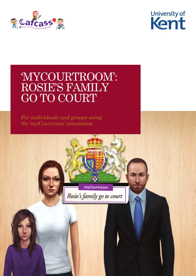



# 'MYCOURTROOM': ROSIE'S FAMILY GO TO COURT

*For individuals and groups using the 'myCourtroom' simulation*

myCourtroom

Rosie's family go to court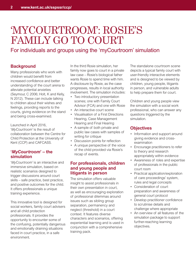## 'MYCOURTROOM': ROSIE'S FAMILY GO TO COURT

### For individuals and groups using the 'myCourtroom' simulation

#### **Background**

Many professionals who work with children would benefit from increased confidence and better understanding of the court arena to alleviate potential anxieties (Seymour, C 2006; Holt, K and Kelly, N 2012). These can include talking to children about their wishes and feelings, providing reports to the courts, giving evidence on the stand and being cross-examined.

Launched in April 2016, '*MyCourtroom'* is the result of collaboration between the Centre for Child Protection at the University of Kent (CCP) and CAFCASS.

#### **'***MyCourtroom***' – the simulation**

'*MyCourtroom'* is an interactive and immersive simulation, based on realistic scenarios designed to trigger discussions around court skills – safe practice, best practice, and positive outcomes for the child. It offers professionals a unique training experience.

This innovative tool is designed for social workers, family court advisers and all child protection professionals. It provides the opportunity to encounter some of the confusing, potentially dangerous and emotionally draining situations faced in court practice, in a safe environment.

In the third Rosie simulation, her family now goes to court in a private law case – Rosie's biological father wants Rosie to spend time with him. A disclosure by Rosie, as the case progresses, results in local authority involvement. The simulation includes:

- Two introductory presentation scenes; one with Family Court Advisor (FCA) and one with Rosie
- An interactive court scene
- Visualisation of a First Directions Hearing, Case Management Hearing and Final Hearing
- A sample of both private and public law cases with samples of writing for critique
- Discussion points for reflection
- A unique perspective of the voice of the child provided via Rosie's recap of events.

#### **For professionals, children and young people and litigants in person**

The simulation offers valuable insight to assist professionals in their own presentation in court as well as encouraging exploration of professional dilemmas around issues such as sibling group separation, permanency and neglect (threshold) in a court context. It features diverse characters and scenarios, offering experiential learning and is used in conjunction with a comprehensive training pack.

The standalone courtroom scene depicts a typical family court with user-friendly interactive elements and is designed to be viewed by children, young people, litigants in person, and vulnerable adults to help prepare them for court.

Children and young people view the simulation with a social work professional, who can answer any questions triggered by the simulation.

#### **Objectives**

- Information and support around giving evidence and crossexamination
- Encourage practitioners to refer to theory and research appropriately within evidence
- Awareness of roles and expertise of professionals in the public court room
- Practical application/exploration of care proceedings' system, rules and legal concepts
- Consideration of court preparation and awareness of general court protocol
- Develop practitioner confidence to scrutinise details and challenge where appropriate
- An overview of all features of the simulation package to support further-reaching learning objectives.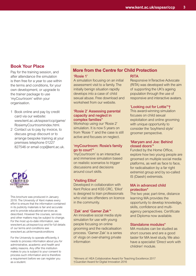#### **Book Your Place**

Pay for the training session, and after attendance the simulation is then free for a year to use within the terms and conditions, for your own development, or upgrade to the trainer package to use 'myCourtroom' within your organisation.

- 1 Book online and pay by credit card via our website: www.kent.ac.uk/sspssr/ccp/game/ RosiemyCourtroomindex.html.
- 2 Contact us to pay by invoice, to discuss group discount or to arrange bespoke training at your premises telephone 01227 827546 or email ccp@kent.ac.uk.



This brochure was produced in January 2019. The University of Kent makes every effort to ensure that the information contained in its publicity materials is fair and accurate and to provide educational services as described. However the courses, services and other matters may be subject to change. For the most up-to-date information, see www.kent.ac.uk/sspssr/ccp and for full details of our terms and conditions see www.kent.ac.uk/termsandconditions

For the University to operate efficiently, it needs to process information about you for administrative, academic and health and safety reasons. Any offer this institution makes to you is subject to your consent to process such information and is therefore a requirement before we can register you as a student.

#### **More from the Centre for Child Protection**

#### **'Rosie 1'**

A simulation focusing on an initial assessment visit to a family. The initially benign situation rapidly develops into a case of child sexual abuse. Free download and worksheet from our website.

#### **'Rosie 2' Assessing parental capacity and neglect in complex families\***

Workshop using our 'Rosie 2' simulation. It is now 5 years on from 'Rosie 1' and the case is still active and focuses on neglect.

#### **'myCourtroom: Rosie's family go to court'\***

'myCourtroom' is an interactive and immersive simulation based on realistic scenarios to trigger discussions and decisions around court skills.

#### **'Visiting Elliot'**

Developed in collaboration with Kent Police and KSS CRC, 'Elliot' is designed to train professionals who visit sex offenders on licence in the community.

#### **'Zak' and 'Gamer Zak'\***

An innovative social media style simulation for use with young people focusing on online grooming and the radicalisation process. 'Gamer Zak' is a series of vlogs on over-sharing private information

#### **RITA**

Responsive InTeractive Advocate (RITA) was developed with the aim of supporting the UK's ageing population through the use of responsive and interactive avatars.

#### **'Looking out for Lottie'\*†**

This award-winning simulation focuses on child sexual exploitation and online grooming with unique opportunity to consider the 'boyfriend style' groomer perspective.

#### **'Maryam and Joe: Behind closed doors'\***

Funded by the Home Office, explore how two young people are groomed on multiple social media platforms, as well as face to face, for radicalisation by a far right extremist group and by so-called IS (Daesh) extremists.

#### **MA in advanced child protection\***

The two year, part-time, distance learning MA provides the opportunity to develop knowledge, skills, confidence and multiagency perspectives. Certificate and Diploma now available.

#### **Standalone modules\***

MA modules can be studied as short courses and are a good taster for MA level study. We also have a specialist 'Direct work with children' module.

\*Winners of: HEA Collaborative Award for Teaching Excellence 2017 †*Guardian* Award for Digital Innovation 2016